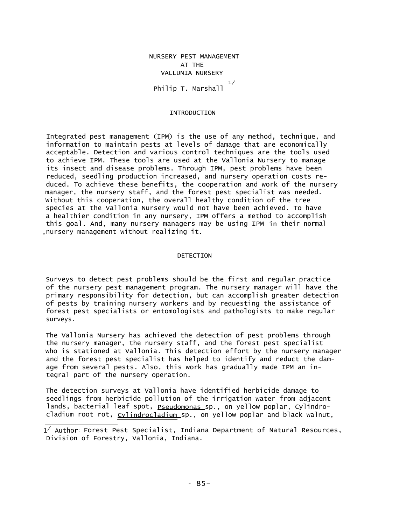NURSERY PEST MANAGEMENT AT THE VALLUNIA NURSERY Philip T. Marshall 1/

# INTRODUCTION

Integrated pest management (IPM) is the use of any method, technique, and information to maintain pests at levels of damage that are economically acceptable. Detection and various control techniques are the tools used to achieve IPM. These tools are used at the Vallonia Nursery to manage its insect and disease problems. Through IPM, pest problems have been reduced, seedling production increased, and nursery operation costs reduced. To achieve these benefits, the cooperation and work of the nursery manager, the nursery staff, and the forest pest specialist was needed. Without this cooperation, the overall healthy condition of the tree species at the Vallonia Nursery would not have been achieved. To have a healthier condition in any nursery, IPM offers a method to accomplish this goal. And, many nursery managers may be using IPM in their normal ,nursery management without realizing it.

## DETECTION

Surveys to detect pest problems should be the first and regular practice of the nursery pest management program. The nursery manager will have the primary responsibility for detection, but can accomplish greater detection of pests by training nursery workers and by requesting the assistance of forest pest specialists or entomologists and pathologists to make regular surveys.

The Vallonia Nursery has achieved the detection of pest problems through the nursery manager, the nursery staff, and the forest pest specialist who is stationed at Vallonia. This detection effort by the nursery manager and the forest pest specialist has helped to identify and reduct the damage from several pests. Also, this work has gradually made IPM an integral part of the nursery operation.

The detection surveys at Vallonia have identified herbicide damage to seedlings from herbicide pollution of the irrigation water from adjacent lands, bacterial leaf spot, **Pseudomonas sp., on yellow poplar**, Cylindrocladium root rot, cylindrocladium sp., on yellow poplar and black walnut,

 $1^{\angle}$  Author: Forest Pest Specialist, Indiana Department of Natural Resources, Division of Forestry, Vallonia, Indiana.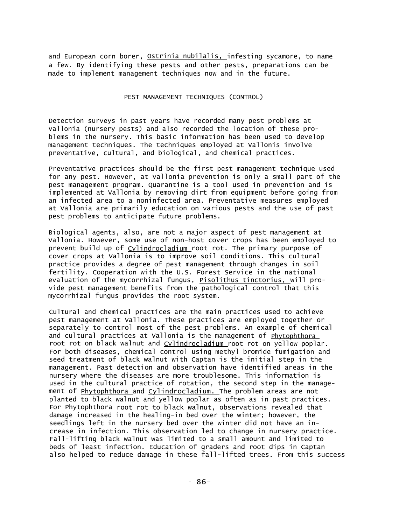and European corn borer, Ostrinia nubilalis, infesting sycamore, to name a few. By identifying these pests and other pests, preparations can be made to implement management techniques now and in the future.

# PEST MANAGEMENT TECHNIQUES (CONTROL)

Detection surveys in past years have recorded many pest problems at Vallonia (nursery pests) and also recorded the location of these problems in the nursery. This basic information has been used to develop management techniques. The techniques employed at Vallonis involve preventative, cultural, and biological, and chemical practices.

Preventative practices should be the first pest management technique used for any pest. However, at Vallonia prevention is only a small part of the pest management program. Quarantine is a tool used in prevention and is implemented at Vallonia by removing dirt from equipment before going from an infected area to a noninfected area. Preventative measures employed at Vallonia are primarily education on various pests and the use of past pest problems to anticipate future problems.

Biological agents, also, are not a major aspect of pest management at Vallonia. However, some use of non-host cover crops has been employed to prevent build up of Cylindrocladium root rot. The primary purpose of cover crops at Vallonia is to improve soil conditions. This cultural practice provides a degree of pest management through changes in soil fertility. Cooperation with the U.S. Forest Service in the national evaluation of the mycorrhizal fungus, **Pisolithus tinctorius,** will provide pest management benefits from the pathological control that this mycorrhizal fungus provides the root system.

Cultural and chemical practices are the main practices used to achieve pest management at Vallonia. These practices are employed together or separately to control most of the pest problems. An example of chemical and cultural practices at Vallonia is the management of Phytophthora root rot on black walnut and *Cylindrocladium* root rot on yellow poplar. For both diseases, chemical control using methyl bromide fumigation and seed treatment of black walnut with Captan is the initial step in the management. Past detection and observation have identified areas in the nursery where the diseases are more troublesome. This information is used in the cultural practice of rotation, the second step in the management of Phytophthora and Cylindrocladium. The problem areas are not planted to black walnut and yellow poplar as often as in past practices. For Phytophthora root rot to black walnut, observations revealed that damage increased in the healing-in bed over the winter; however, the seedlings left in the nursery bed over the winter did not have an increase in infection. This observation led to change in nursery practice. Fall-lifting black walnut was limited to a small amount and limited to beds of least infection. Education of graders and root dips in Captan also helped to reduce damage in these fall-lifted trees. From this success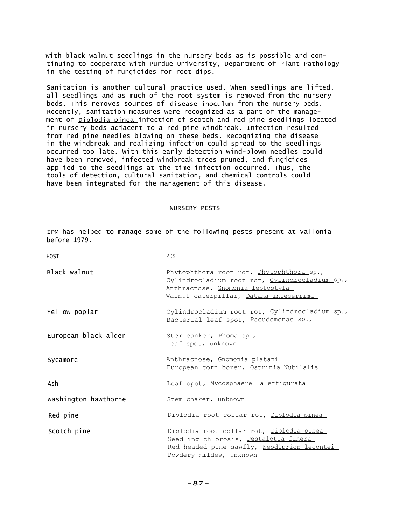with black walnut seedlings in the nursery beds as is possible and continuing to cooperate with Purdue University, Department of Plant Pathology in the testing of fungicides for root dips.

Sanitation is another cultural practice used. When seedlings are lifted, all seedlings and as much of the root system is removed from the nursery beds. This removes sources of disease inoculum from the nursery beds. Recently, sanitation measures were recognized as a part of the management of **Diplodia pinea** infection of scotch and red pine seedlings located in nursery beds adjacent to a red pine windbreak. Infection resulted from red pine needles blowing on these beds. Recognizing the disease in the windbreak and realizing infection could spread to the seedlings occurred too late. With this early detection wind-blown needles could have been removed, infected windbreak trees pruned, and fungicides applied to the seedlings at the time infection occurred. Thus, the tools of detection, cultural sanitation, and chemical controls could have been integrated for the management of this disease.

# NURSERY PESTS

IPM has helped to manage some of the following pests present at Vallonia before 1979.

| HOST_                | PEST_                                                                                                                                                                    |
|----------------------|--------------------------------------------------------------------------------------------------------------------------------------------------------------------------|
| Black walnut         | Phytophthora root rot, Phytophthora sp.,<br>Cylindrocladium root rot, Cylindrocladium sp.,<br>Anthracnose, Gnomonia leptostyla<br>Walnut caterpillar, Datana integerrima |
| Yellow poplar        | Cylindrocladium root rot, Cylindrocladium sp.,<br>Bacterial leaf spot, Pseudomonas sp.,                                                                                  |
| European black alder | Stem canker, Phoma sp.,<br>Leaf spot, unknown                                                                                                                            |
| Sycamore             | Anthracnose, Gnomonia platani<br>European corn borer, <u>Ostrinia Nubilalis</u>                                                                                          |
| Ash                  | Leaf spot, Mycosphaerella effigurata                                                                                                                                     |
| Washington hawthorne | Stem cnaker, unknown                                                                                                                                                     |
| Red pine             | Diplodia root collar rot, Diplodia pinea                                                                                                                                 |
| Scotch pine          | Diplodia root collar rot, Diplodia pinea<br>Seedling chlorosis, Pestalotia funera<br>Red-headed pine sawfly, Neodiprion lecontei<br>Powdery mildew, unknown              |